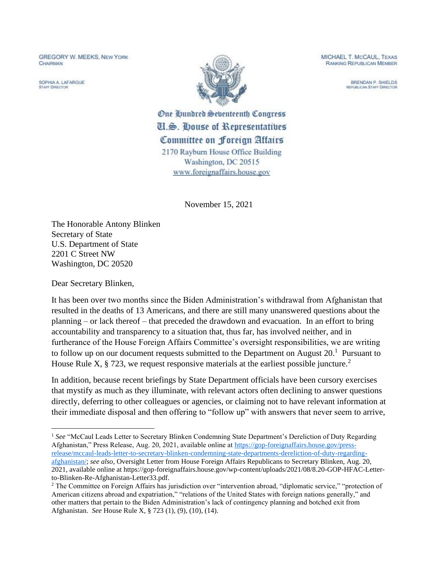**GREGORY W. MEEKS, NEW YORK** CHAIRMAN

SOPHIA A LAEARCUE **STAFF DIRECTOR** 



MICHAEL T. McCAUL, TEXAS **RANKING REPUBLICAN MEMBER** 

> BRENDAN P. SHIELDS **REPUBLICAN STAFF DIRECTOR**

One Qundred Seventeenth Congress **U.S. House of Representatives** Committee on Foreign Attairs 2170 Rayburn House Office Building Washington, DC 20515 www.foreignaffairs.house.gov

November 15, 2021

The Honorable Antony Blinken Secretary of State U.S. Department of State 2201 C Street NW Washington, DC 20520

Dear Secretary Blinken,

It has been over two months since the Biden Administration's withdrawal from Afghanistan that resulted in the deaths of 13 Americans, and there are still many unanswered questions about the planning – or lack thereof – that preceded the drawdown and evacuation. In an effort to bring accountability and transparency to a situation that, thus far, has involved neither, and in furtherance of the House Foreign Affairs Committee's oversight responsibilities, we are writing to follow up on our document requests submitted to the Department on August  $20<sup>1</sup>$  Pursuant to House Rule X,  $\S$  723, we request responsive materials at the earliest possible juncture.<sup>2</sup>

In addition, because recent briefings by State Department officials have been cursory exercises that mystify as much as they illuminate, with relevant actors often declining to answer questions directly, deferring to other colleagues or agencies, or claiming not to have relevant information at their immediate disposal and then offering to "follow up" with answers that never seem to arrive,

<sup>&</sup>lt;sup>1</sup> See "McCaul Leads Letter to Secretary Blinken Condemning State Department's Dereliction of Duty Regarding Afghanistan," Press Release, Aug. 20, 2021, available online at [https://gop-foreignaffairs.house.gov/press](https://gop-foreignaffairs.house.gov/press-release/mccaul-leads-letter-to-secretary-blinken-condemning-state-departments-dereliction-of-duty-regarding-afghanistan/)[release/mccaul-leads-letter-to-secretary-blinken-condemning-state-departments-dereliction-of-duty-regarding](https://gop-foreignaffairs.house.gov/press-release/mccaul-leads-letter-to-secretary-blinken-condemning-state-departments-dereliction-of-duty-regarding-afghanistan/)[afghanistan/;](https://gop-foreignaffairs.house.gov/press-release/mccaul-leads-letter-to-secretary-blinken-condemning-state-departments-dereliction-of-duty-regarding-afghanistan/) *see also*, Oversight Letter from House Foreign Affairs Republicans to Secretary Blinken, Aug. 20, 2021, available online at https://gop-foreignaffairs.house.gov/wp-content/uploads/2021/08/8.20-GOP-HFAC-Letterto-Blinken-Re-Afghanistan-Letter33.pdf.

<sup>&</sup>lt;sup>2</sup> The Committee on Foreign Affairs has jurisdiction over "intervention abroad, "diplomatic service," "protection of American citizens abroad and expatriation," "relations of the United States with foreign nations generally," and other matters that pertain to the Biden Administration's lack of contingency planning and botched exit from Afghanistan. *See* House Rule X, § 723 (1), (9), (10), (14).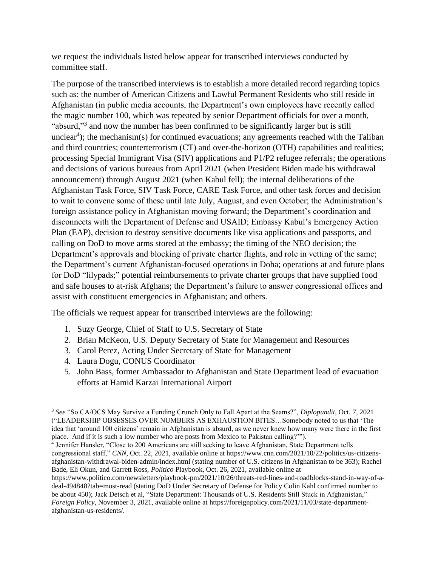we request the individuals listed below appear for transcribed interviews conducted by committee staff.

The purpose of the transcribed interviews is to establish a more detailed record regarding topics such as: the number of American Citizens and Lawful Permanent Residents who still reside in Afghanistan (in public media accounts, the Department's own employees have recently called the magic number 100, which was repeated by senior Department officials for over a month, "absurd,"<sup>3</sup> and now the number has been confirmed to be significantly larger but is still unclear<sup>4</sup>); the mechanism(s) for continued evacuations; any agreements reached with the Taliban and third countries; counterterrorism (CT) and over-the-horizon (OTH) capabilities and realities; processing Special Immigrant Visa (SIV) applications and P1/P2 refugee referrals; the operations and decisions of various bureaus from April 2021 (when President Biden made his withdrawal announcement) through August 2021 (when Kabul fell); the internal deliberations of the Afghanistan Task Force, SIV Task Force, CARE Task Force, and other task forces and decision to wait to convene some of these until late July, August, and even October; the Administration's foreign assistance policy in Afghanistan moving forward; the Department's coordination and disconnects with the Department of Defense and USAID; Embassy Kabul's Emergency Action Plan (EAP), decision to destroy sensitive documents like visa applications and passports, and calling on DoD to move arms stored at the embassy; the timing of the NEO decision; the Department's approvals and blocking of private charter flights, and role in vetting of the same; the Department's current Afghanistan-focused operations in Doha; operations at and future plans for DoD "lilypads;" potential reimbursements to private charter groups that have supplied food and safe houses to at-risk Afghans; the Department's failure to answer congressional offices and assist with constituent emergencies in Afghanistan; and others.

The officials we request appear for transcribed interviews are the following:

- 1. Suzy George, Chief of Staff to U.S. Secretary of State
- 2. Brian McKeon, U.S. Deputy Secretary of State for Management and Resources
- 3. Carol Perez, Acting Under Secretary of State for Management
- 4. Laura Dogu, CONUS Coordinator
- 5. John Bass, former Ambassador to Afghanistan and State Department lead of evacuation efforts at Hamid Karzai International Airport

<sup>3</sup> *See* "So CA/OCS May Survive a Funding Crunch Only to Fall Apart at the Seams?", *Diplopundit*, Oct. 7, 2021 ("LEADERSHIP OBSESSES OVER NUMBERS AS EXHAUSTION BITES…Somebody noted to us that 'The idea that 'around 100 citizens' remain in Afghanistan is absurd, as we never knew how many were there in the first place. And if it is such a low number who are posts from Mexico to Pakistan calling?'").

<sup>4</sup> Jennifer Hansler, "Close to 200 Americans are still seeking to leave Afghanistan, State Department tells congressional staff," *CNN*, Oct. 22, 2021, available online at https://www.cnn.com/2021/10/22/politics/us-citizensafghanistan-withdrawal-biden-admin/index.html (stating number of U.S. citizens in Afghanistan to be 363); Rachel Bade, Eli Okun, and Garrett Ross, *Politico* Playbook, Oct. 26, 2021, available online at

https://www.politico.com/newsletters/playbook-pm/2021/10/26/threats-red-lines-and-roadblocks-stand-in-way-of-adeal-494848?tab=most-read (stating DoD Under Secretary of Defense for Policy Colin Kahl confirmed number to be about 450); Jack Detsch et al, "State Department: Thousands of U.S. Residents Still Stuck in Afghanistan," *Foreign Policy*, November 3, 2021, available online at https://foreignpolicy.com/2021/11/03/state-departmentafghanistan-us-residents/.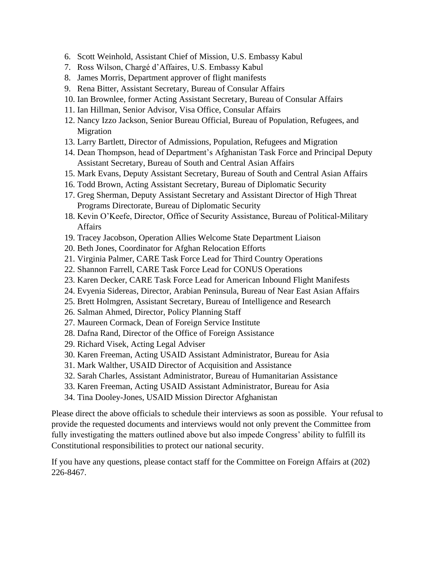- 6. Scott Weinhold, Assistant Chief of Mission, U.S. Embassy Kabul
- 7. Ross Wilson, Chargé d'Affaires, U.S. Embassy Kabul
- 8. James Morris, Department approver of flight manifests
- 9. Rena Bitter, Assistant Secretary, Bureau of Consular Affairs
- 10. Ian Brownlee, former Acting Assistant Secretary, Bureau of Consular Affairs
- 11. Ian Hillman, Senior Advisor, Visa Office, Consular Affairs
- 12. Nancy Izzo Jackson, Senior Bureau Official, Bureau of Population, Refugees, and Migration
- 13. Larry Bartlett, Director of Admissions, Population, Refugees and Migration
- 14. Dean Thompson, head of Department's Afghanistan Task Force and Principal Deputy Assistant Secretary, Bureau of South and Central Asian Affairs
- 15. Mark Evans, Deputy Assistant Secretary, Bureau of South and Central Asian Affairs
- 16. Todd Brown, Acting Assistant Secretary, Bureau of Diplomatic Security
- 17. Greg Sherman, Deputy Assistant Secretary and Assistant Director of High Threat Programs Directorate, Bureau of Diplomatic Security
- 18. Kevin O'Keefe, Director, Office of Security Assistance, Bureau of Political-Military Affairs
- 19. Tracey Jacobson, Operation Allies Welcome State Department Liaison
- 20. Beth Jones, Coordinator for Afghan Relocation Efforts
- 21. Virginia Palmer, CARE Task Force Lead for Third Country Operations
- 22. Shannon Farrell, CARE Task Force Lead for CONUS Operations
- 23. Karen Decker, CARE Task Force Lead for American Inbound Flight Manifests
- 24. Evyenia Sidereas, Director, Arabian Peninsula, Bureau of Near East Asian Affairs
- 25. Brett Holmgren, Assistant Secretary, Bureau of Intelligence and Research
- 26. Salman Ahmed, Director, Policy Planning Staff
- 27. Maureen Cormack, Dean of Foreign Service Institute
- 28. Dafna Rand, Director of the Office of Foreign Assistance
- 29. Richard Visek, Acting Legal Adviser
- 30. Karen Freeman, Acting USAID Assistant Administrator, Bureau for Asia
- 31. Mark Walther, USAID Director of Acquisition and Assistance
- 32. Sarah Charles, Assistant Administrator, Bureau of Humanitarian Assistance
- 33. Karen Freeman, Acting USAID Assistant Administrator, Bureau for Asia
- 34. Tina Dooley-Jones, USAID Mission Director Afghanistan

Please direct the above officials to schedule their interviews as soon as possible. Your refusal to provide the requested documents and interviews would not only prevent the Committee from fully investigating the matters outlined above but also impede Congress' ability to fulfill its Constitutional responsibilities to protect our national security.

If you have any questions, please contact staff for the Committee on Foreign Affairs at (202) 226-8467.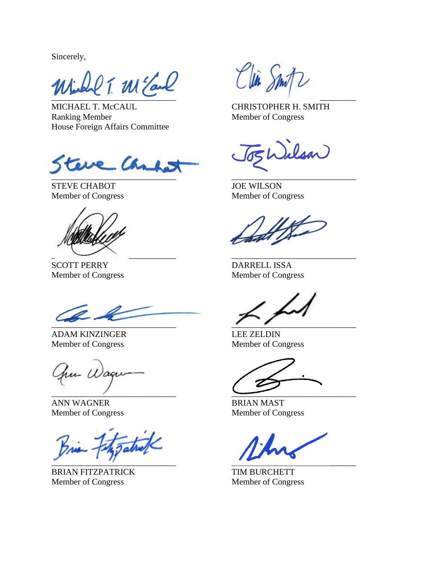Sincerely,

 $\overline{\phantom{a}}$ 

MICHAEL T. McCAUL CHRISTOPHER H. SMITH Ranking Member Member Member of Congress House Foreign Affairs Committee

re Cha  $\mathcal{L} = \{ \mathcal{L} \mathcal{L} \mathcal{L} \mathcal{L} \mathcal{L} \mathcal{L} \mathcal{L} \mathcal{L} \mathcal{L} \mathcal{L} \mathcal{L} \mathcal{L} \mathcal{L} \mathcal{L} \mathcal{L} \mathcal{L} \mathcal{L} \mathcal{L} \mathcal{L} \mathcal{L} \mathcal{L} \mathcal{L} \mathcal{L} \mathcal{L} \mathcal{L} \mathcal{L} \mathcal{L} \mathcal{L} \mathcal{L} \mathcal{L} \mathcal{L} \mathcal{L} \mathcal{L} \mathcal{L} \mathcal{L} \$ 

STEVE CHABOT JOE WILSON

 $\overline{\phantom{a}}$  ,  $\overline{\phantom{a}}$  ,  $\overline{\phantom{a}}$  ,  $\overline{\phantom{a}}$  ,  $\overline{\phantom{a}}$  ,  $\overline{\phantom{a}}$  ,  $\overline{\phantom{a}}$  ,  $\overline{\phantom{a}}$  ,  $\overline{\phantom{a}}$  ,  $\overline{\phantom{a}}$  ,  $\overline{\phantom{a}}$  ,  $\overline{\phantom{a}}$  ,  $\overline{\phantom{a}}$  ,  $\overline{\phantom{a}}$  ,  $\overline{\phantom{a}}$  ,  $\overline{\phantom{a}}$ 

SCOTT PERRY DARRELL ISSA

 $\overline{\phantom{a}}$ 

ADAM KINZINGER LEE ZELDIN Member of Congress Member of Congress

hu Wagu

ANN WAGNER BRIAN MAST

 $\overline{\phantom{a}}$ 

BRIAN FITZPATRICK TIM BURCHETT Member of Congress Member of Congress

Clin Smi

Wilson

Member of Congress Member of Congress

Member of Congress Member of Congress

 $\overline{\phantom{a}}$  ,  $\overline{\phantom{a}}$  ,  $\overline{\phantom{a}}$  ,  $\overline{\phantom{a}}$  ,  $\overline{\phantom{a}}$  ,  $\overline{\phantom{a}}$  ,  $\overline{\phantom{a}}$  ,  $\overline{\phantom{a}}$  ,  $\overline{\phantom{a}}$  ,  $\overline{\phantom{a}}$  ,  $\overline{\phantom{a}}$  ,  $\overline{\phantom{a}}$  ,  $\overline{\phantom{a}}$  ,  $\overline{\phantom{a}}$  ,  $\overline{\phantom{a}}$  ,  $\overline{\phantom{a}}$ 

Member of Congress Member of Congress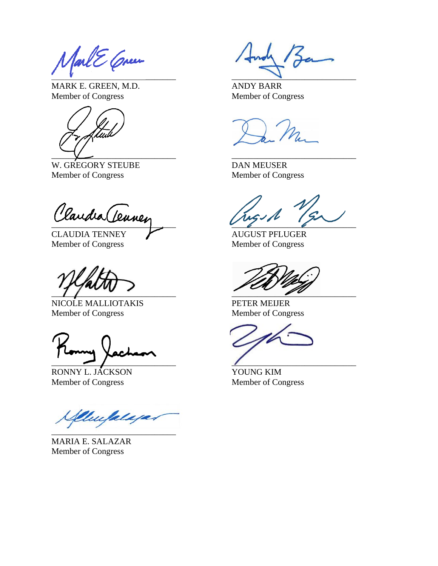$\overline{\phantom{a}}$  , and the contract of  $\overline{\phantom{a}}$ 

MARK E. GREEN, M.D. ANDY BARR Member of Congress Member of Congress



W. GREGORY STEUBE DAN MEUSER Member of Congress Member of Congress

Claudia (Tennen

CLAUDIA TENNEY AUGUST PFLUGER Member of Congress Member of Congress

 $\frac{1}{2}$ 

NICOLE MALLIOTAKIS PETER MEIJER<br>Member of Congress Member of Congr

 $\overline{\phantom{a}}$ 

RONNY L. JÁCKSON YOUNG KIM Member of Congress Member of Congress

Umplaya  $\mathcal{L}$  , where  $\mathcal{L}$ 

MARIA E. SALAZAR Member of Congress

Member of Congress